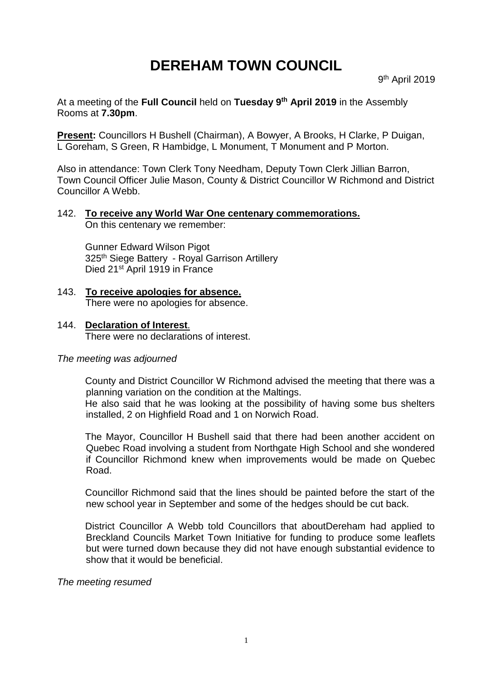# **DEREHAM TOWN COUNCIL**

At a meeting of the **Full Council** held on **Tuesday 9 th April 2019** in the Assembly Rooms at **7.30pm**.

**Present:** Councillors H Bushell (Chairman), A Bowyer, A Brooks, H Clarke, P Duigan, L Goreham, S Green, R Hambidge, L Monument, T Monument and P Morton.

Also in attendance: Town Clerk Tony Needham, Deputy Town Clerk Jillian Barron, Town Council Officer Julie Mason, County & District Councillor W Richmond and District Councillor A Webb.

## 142. **To receive any World War One centenary commemorations.**

On this centenary we remember:

Gunner Edward Wilson Pigot 325<sup>th</sup> Siege Battery - Royal Garrison Artillery Died 21<sup>st</sup> April 1919 in France

- 143. **To receive apologies for absence.** There were no apologies for absence.
- 144. **Declaration of Interest**. There were no declarations of interest.

#### *The meeting was adjourned*

County and District Councillor W Richmond advised the meeting that there was a planning variation on the condition at the Maltings.

He also said that he was looking at the possibility of having some bus shelters installed, 2 on Highfield Road and 1 on Norwich Road.

The Mayor, Councillor H Bushell said that there had been another accident on Quebec Road involving a student from Northgate High School and she wondered if Councillor Richmond knew when improvements would be made on Quebec Road.

Councillor Richmond said that the lines should be painted before the start of the new school year in September and some of the hedges should be cut back.

District Councillor A Webb told Councillors that aboutDereham had applied to Breckland Councils Market Town Initiative for funding to produce some leaflets but were turned down because they did not have enough substantial evidence to show that it would be beneficial.

*The meeting resumed*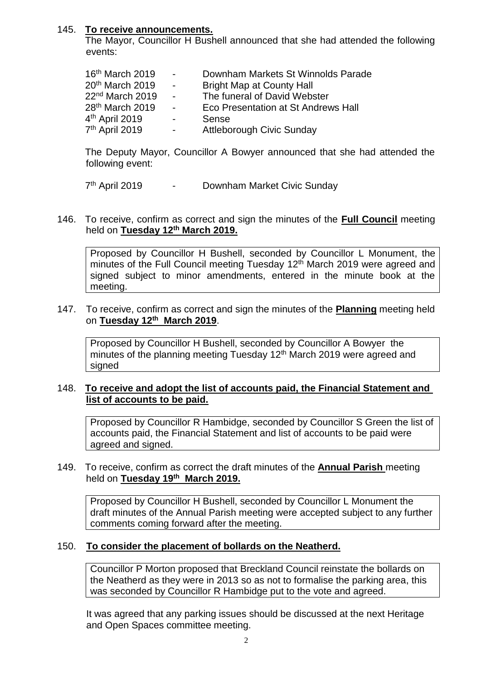#### 145. **To receive announcements.**

The Mayor, Councillor H Bushell announced that she had attended the following events:

| 16th March 2019             | $\sim 100$       | Downham Markets St Winnolds Parade  |
|-----------------------------|------------------|-------------------------------------|
| 20th March 2019             | $\sim$ 10 $\pm$  | <b>Bright Map at County Hall</b>    |
| 22 <sup>nd</sup> March 2019 | $\sim 100$       | The funeral of David Webster        |
| 28 <sup>th</sup> March 2019 | $\sim 100$       | Eco Presentation at St Andrews Hall |
| 4 <sup>th</sup> April 2019  | $\sim 100$       | Sense                               |
| 7th April 2019              | $\sim$ 100 $\mu$ | <b>Attleborough Civic Sunday</b>    |

The Deputy Mayor, Councillor A Bowyer announced that she had attended the following event:

 $7<sup>th</sup>$  April 2019  $-$ Downham Market Civic Sunday

146. To receive, confirm as correct and sign the minutes of the **Full Council** meeting held on **Tuesday 12th March 2019.**

Proposed by Councillor H Bushell, seconded by Councillor L Monument, the minutes of the Full Council meeting Tuesday 12<sup>th</sup> March 2019 were agreed and signed subject to minor amendments, entered in the minute book at the meeting.

147. To receive, confirm as correct and sign the minutes of the **Planning** meeting held on **Tuesday 12th March 2019**.

Proposed by Councillor H Bushell, seconded by Councillor A Bowyer the minutes of the planning meeting Tuesday 12<sup>th</sup> March 2019 were agreed and signed

#### 148. **To receive and adopt the list of accounts paid, the Financial Statement and list of accounts to be paid.**

Proposed by Councillor R Hambidge, seconded by Councillor S Green the list of accounts paid, the Financial Statement and list of accounts to be paid were agreed and signed.

#### 149. To receive, confirm as correct the draft minutes of the **Annual Parish** meeting held on **Tuesday 19th March 2019.**

Proposed by Councillor H Bushell, seconded by Councillor L Monument the draft minutes of the Annual Parish meeting were accepted subject to any further comments coming forward after the meeting.

#### 150. **To consider the placement of bollards on the Neatherd.**

Councillor P Morton proposed that Breckland Council reinstate the bollards on the Neatherd as they were in 2013 so as not to formalise the parking area, this was seconded by Councillor R Hambidge put to the vote and agreed.

It was agreed that any parking issues should be discussed at the next Heritage and Open Spaces committee meeting.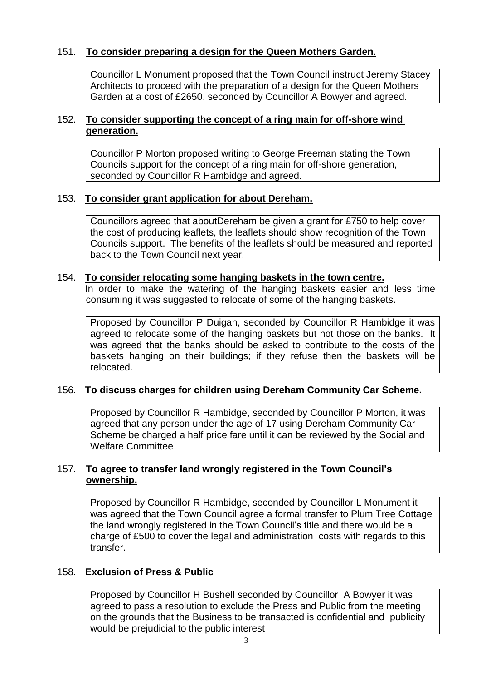## 151. **To consider preparing a design for the Queen Mothers Garden.**

Councillor L Monument proposed that the Town Council instruct Jeremy Stacey Architects to proceed with the preparation of a design for the Queen Mothers Garden at a cost of £2650, seconded by Councillor A Bowyer and agreed.

## 152. **To consider supporting the concept of a ring main for off-shore wind generation.**

Councillor P Morton proposed writing to George Freeman stating the Town Councils support for the concept of a ring main for off-shore generation, seconded by Councillor R Hambidge and agreed.

## 153. **To consider grant application for about Dereham.**

Councillors agreed that aboutDereham be given a grant for £750 to help cover the cost of producing leaflets, the leaflets should show recognition of the Town Councils support. The benefits of the leaflets should be measured and reported back to the Town Council next year.

#### 154. **To consider relocating some hanging baskets in the town centre.**

In order to make the watering of the hanging baskets easier and less time consuming it was suggested to relocate of some of the hanging baskets.

Proposed by Councillor P Duigan, seconded by Councillor R Hambidge it was agreed to relocate some of the hanging baskets but not those on the banks. It was agreed that the banks should be asked to contribute to the costs of the baskets hanging on their buildings; if they refuse then the baskets will be relocated.

## 156. **To discuss charges for children using Dereham Community Car Scheme.**

Proposed by Councillor R Hambidge, seconded by Councillor P Morton, it was agreed that any person under the age of 17 using Dereham Community Car Scheme be charged a half price fare until it can be reviewed by the Social and Welfare Committee

## 157. **To agree to transfer land wrongly registered in the Town Council's ownership.**

Proposed by Councillor R Hambidge, seconded by Councillor L Monument it was agreed that the Town Council agree a formal transfer to Plum Tree Cottage the land wrongly registered in the Town Council's title and there would be a charge of £500 to cover the legal and administration costs with regards to this transfer.

## 158. **Exclusion of Press & Public**

Proposed by Councillor H Bushell seconded by Councillor A Bowyer it was agreed to pass a resolution to exclude the Press and Public from the meeting on the grounds that the Business to be transacted is confidential and publicity would be prejudicial to the public interest